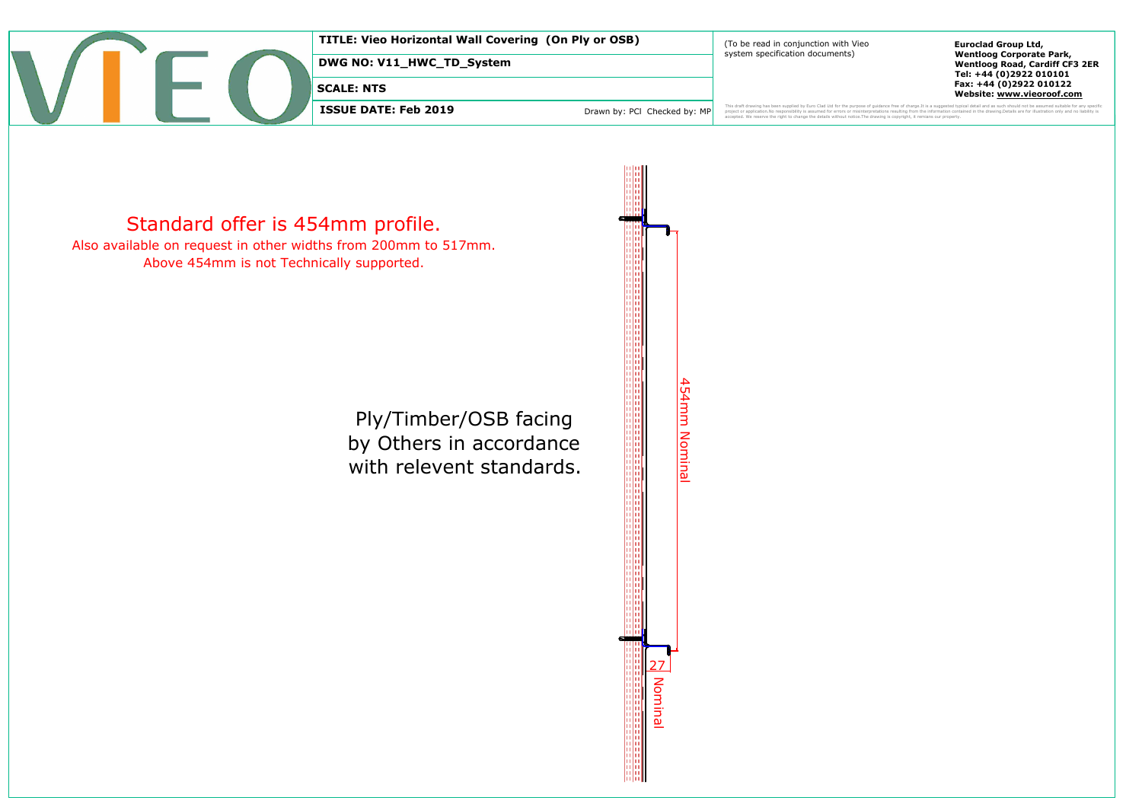

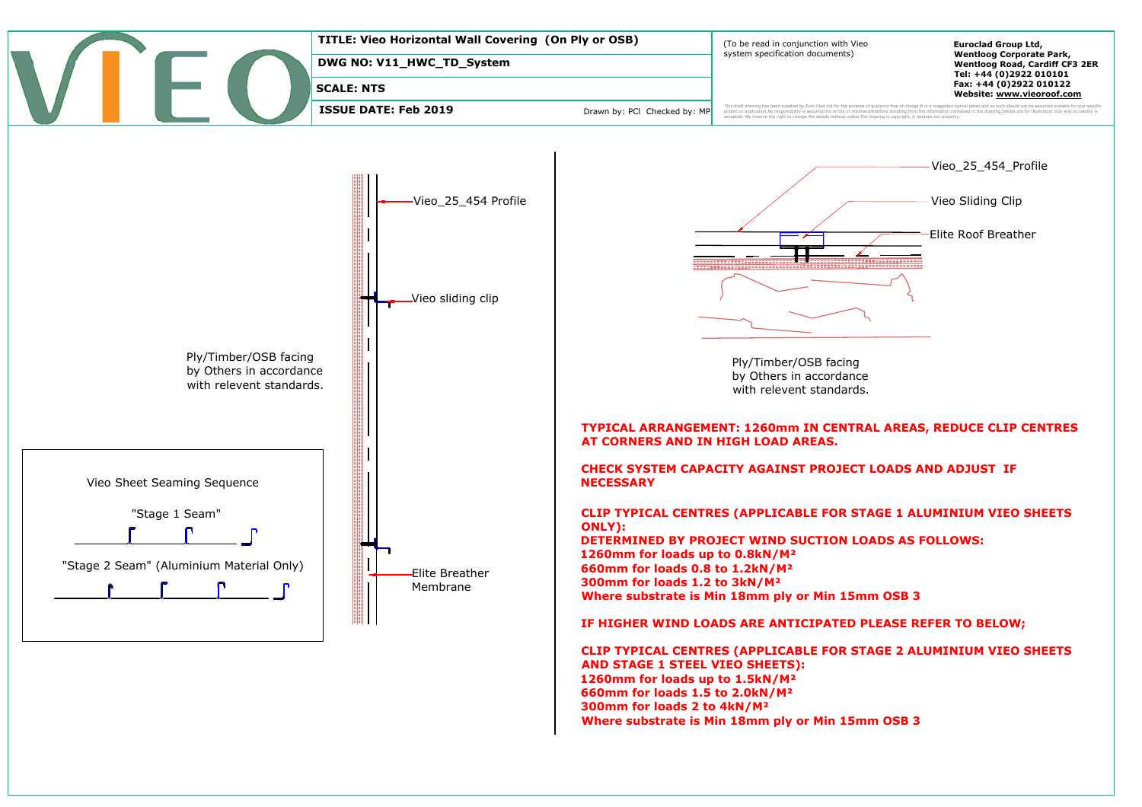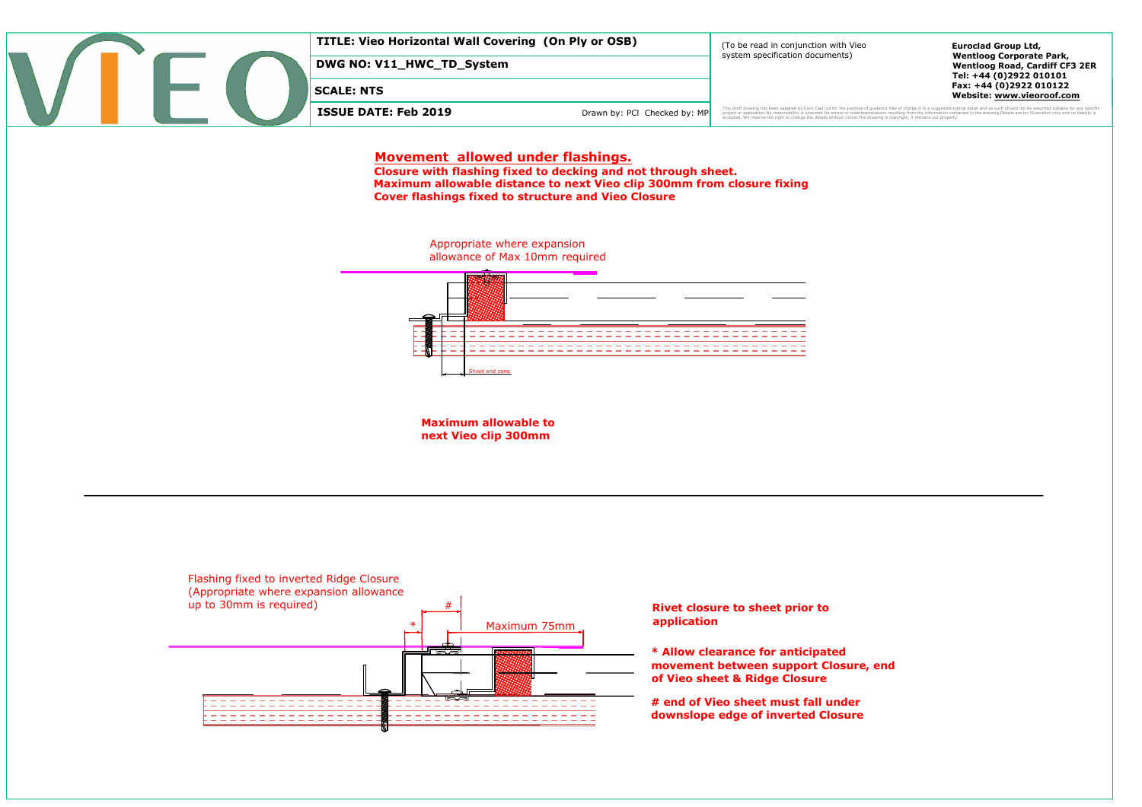**SCALE: NTS<br>
ISSUE DATE: Feb 2019** Drawn by: PCI Checked by: MP<br> **Movement allowed under flashings. Closure with flashing fixed to decking and not through sheet.**<br> **Closure with flashing fixed to decking and not through sheet.**<br> **Maximum allowable distance to next Vieo clip 300mm from closure fixing** 



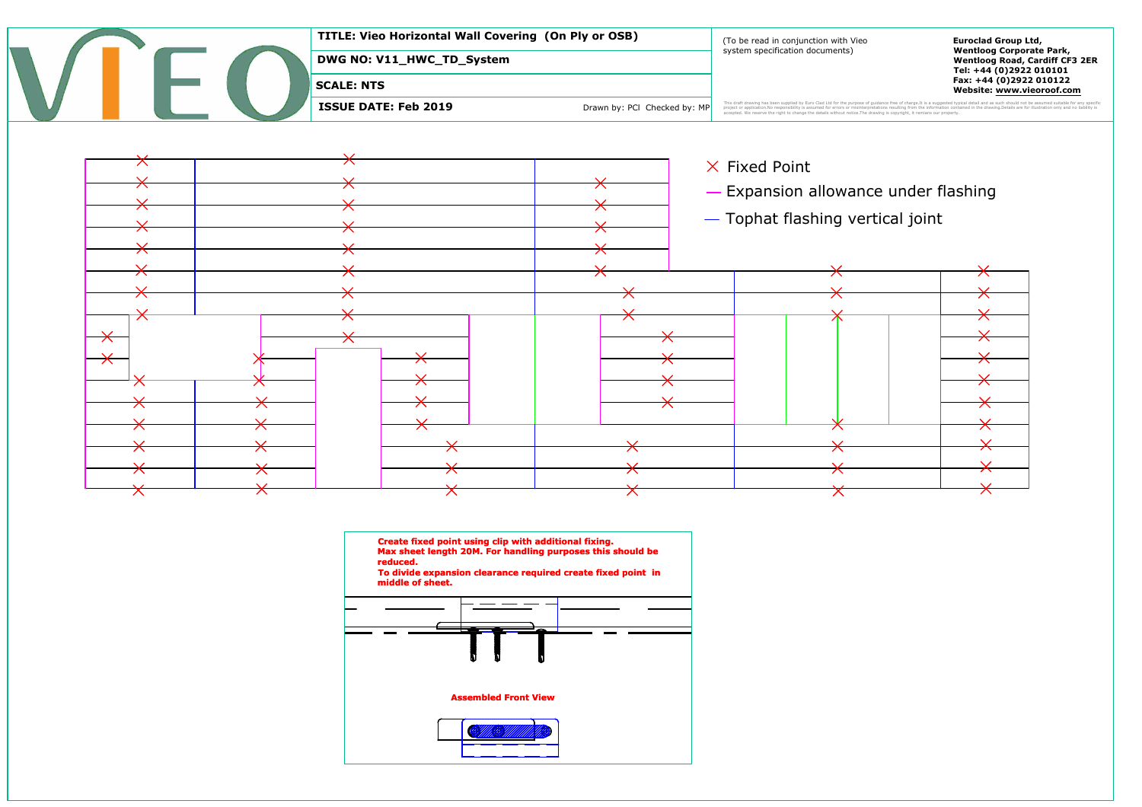

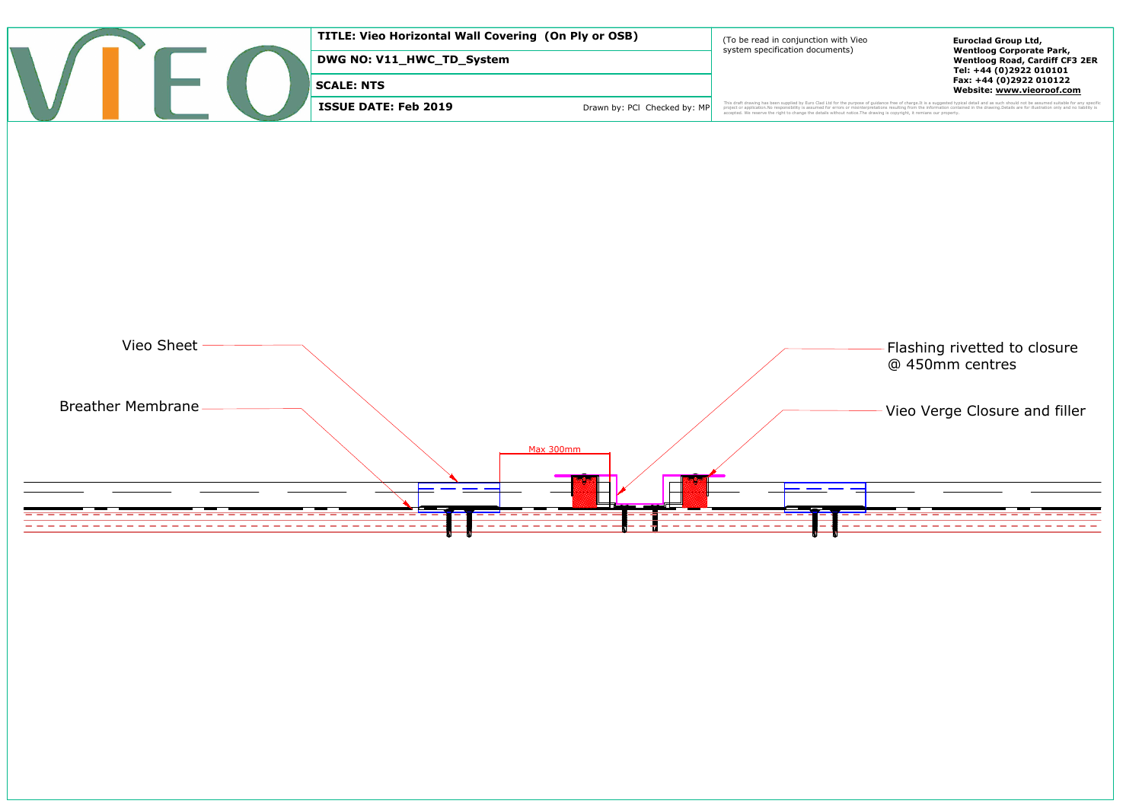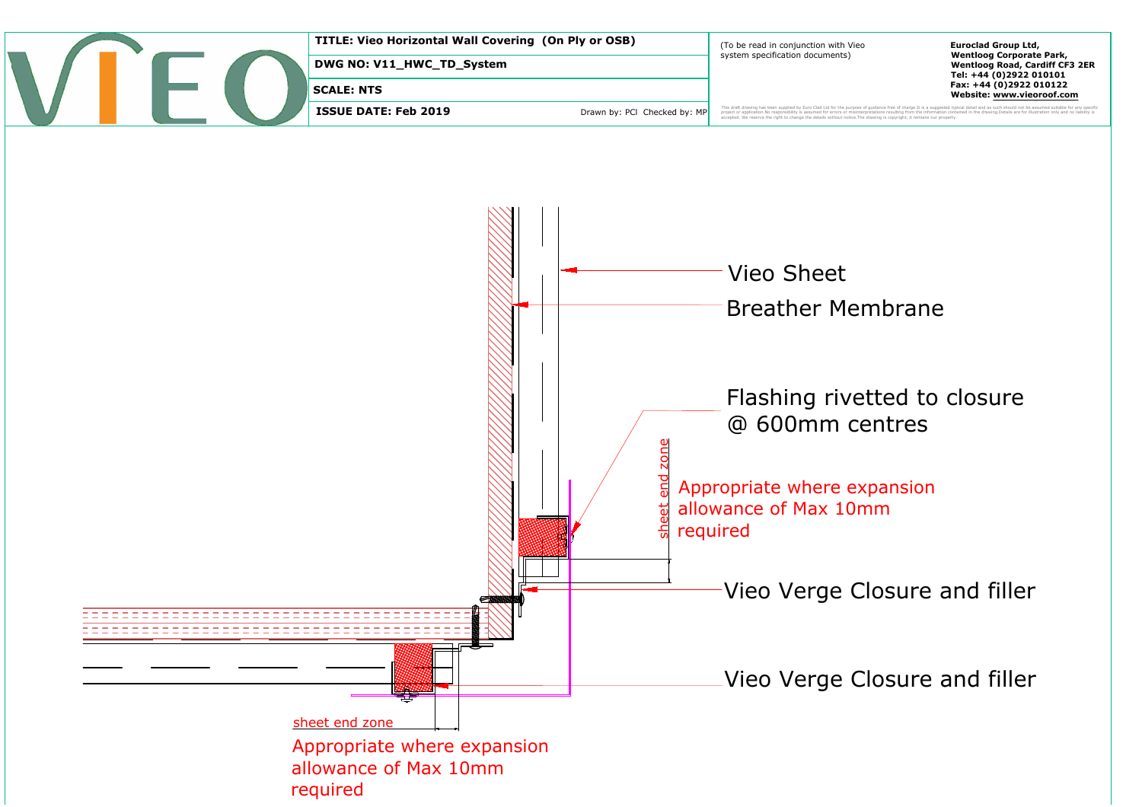

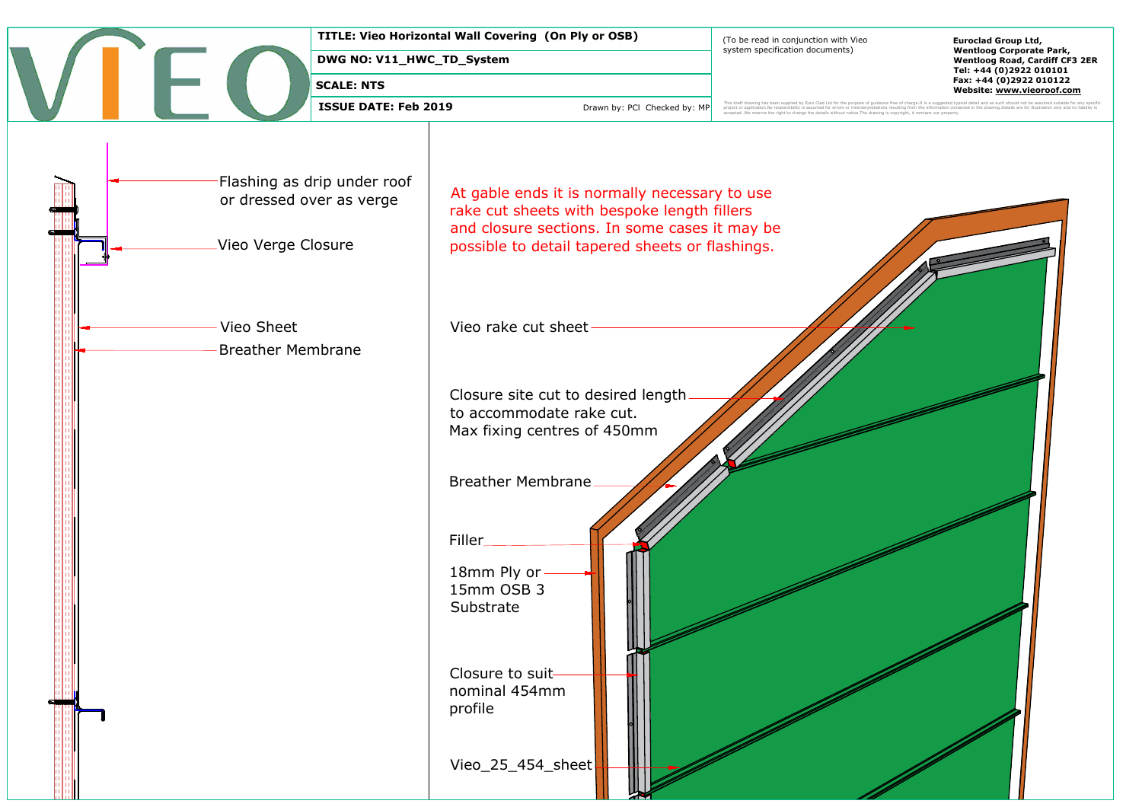┣╾

D\_System<br>
Drawn by: PCI Checked by: MP<br>
At gable ends it is normally necessary to use **Example 20 Prawn by: PCI Checked by: MP**<br> **Record of the cut sheets with bespoke length fillers**<br> **Record of the cut sheets with bespoke length fillers**<br>
and closure sections. In some cases it may be At gable ends it is normally necessary to use<br>rake cut sheets with bespoke length fillers<br>and closure sections. In some cases it may b<br>possible to detail tapered sheets or flashings. -Vieo Verge Closure<br>-<br>Vieo Sheet SCALE: NTS<br>
ISSUE DATE: Feb 2019<br>
Flashing as drip under roof<br>
or dressed over as verge<br>
Take cut sheets with<br>
Vieo Verge Closure<br>
Vieo Verge Closure<br>
Vieo Sheet<br>
Vieo rake cut sheet<br>
Breather Membrane TITLE Viso Heritonial Wall Covering (on PH or OSB)<br>
DWG NO-VI1\_HWC\_TD\_System<br>
SKALE NTS<br>
SSUE DATE: Feb 2019<br>
Towns: NO Counter on Counter or<br>
The Vision of Covering Counter of Counter of<br>
The Viso Counter of Covering Coun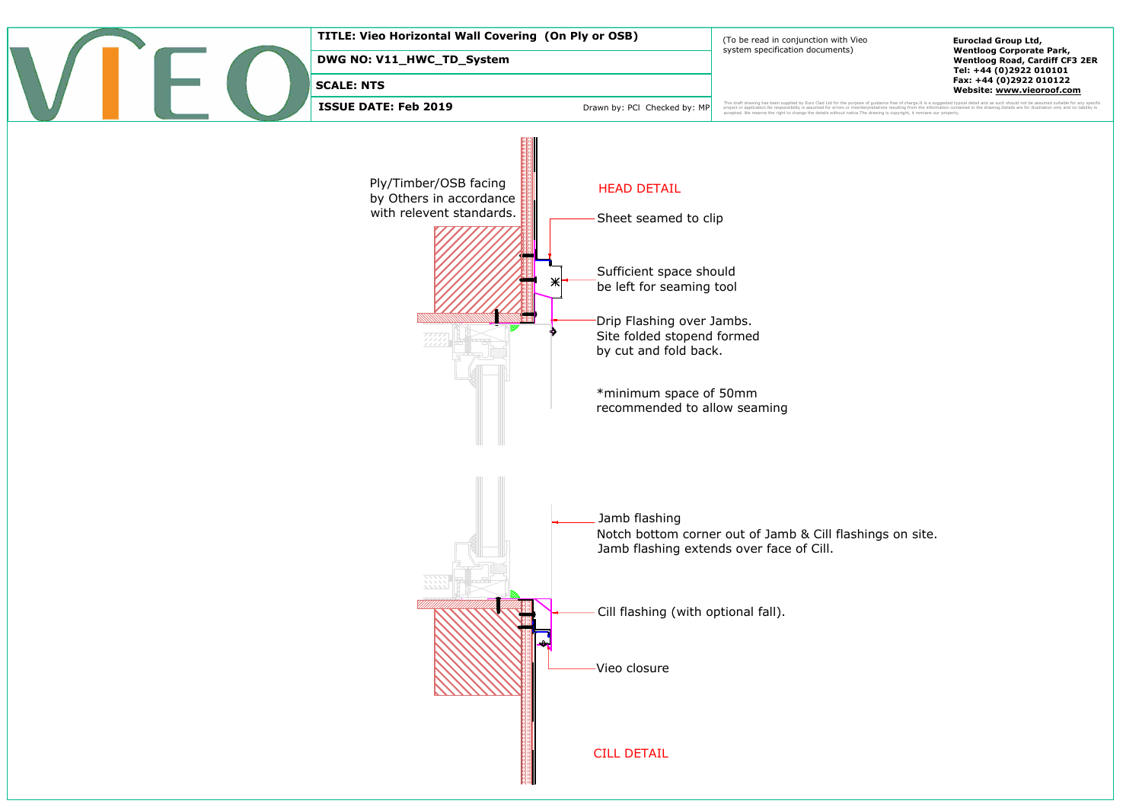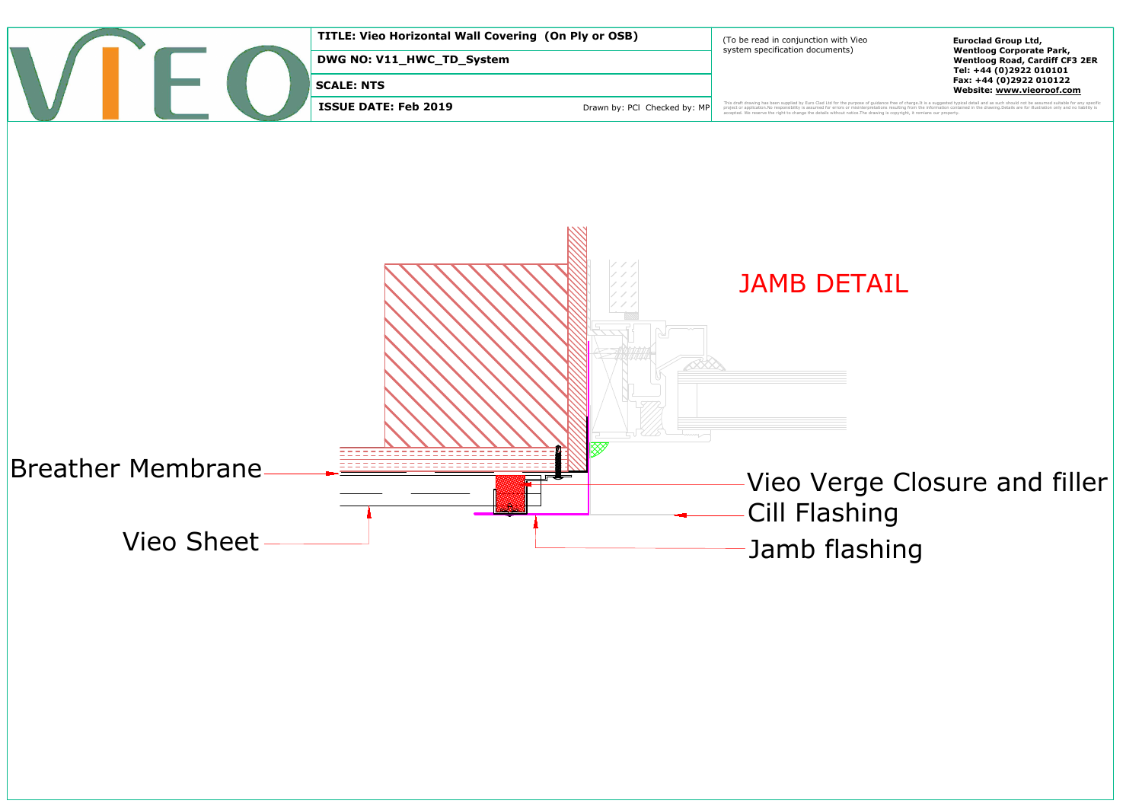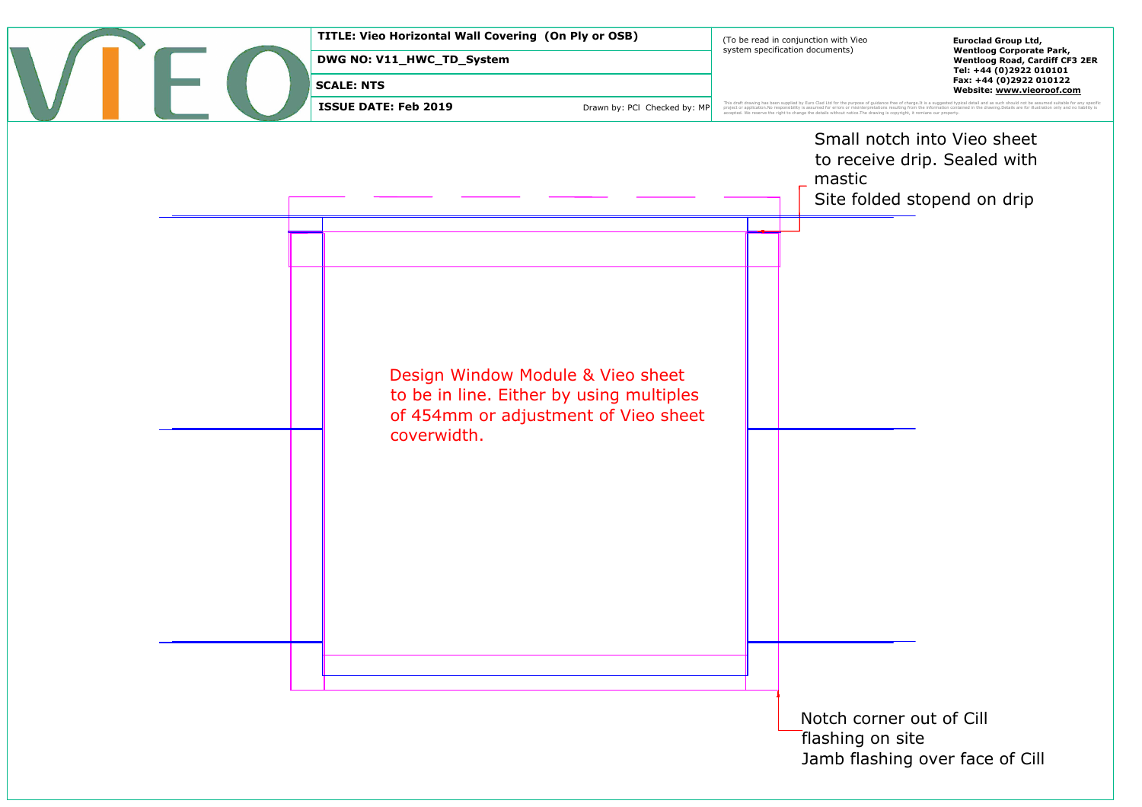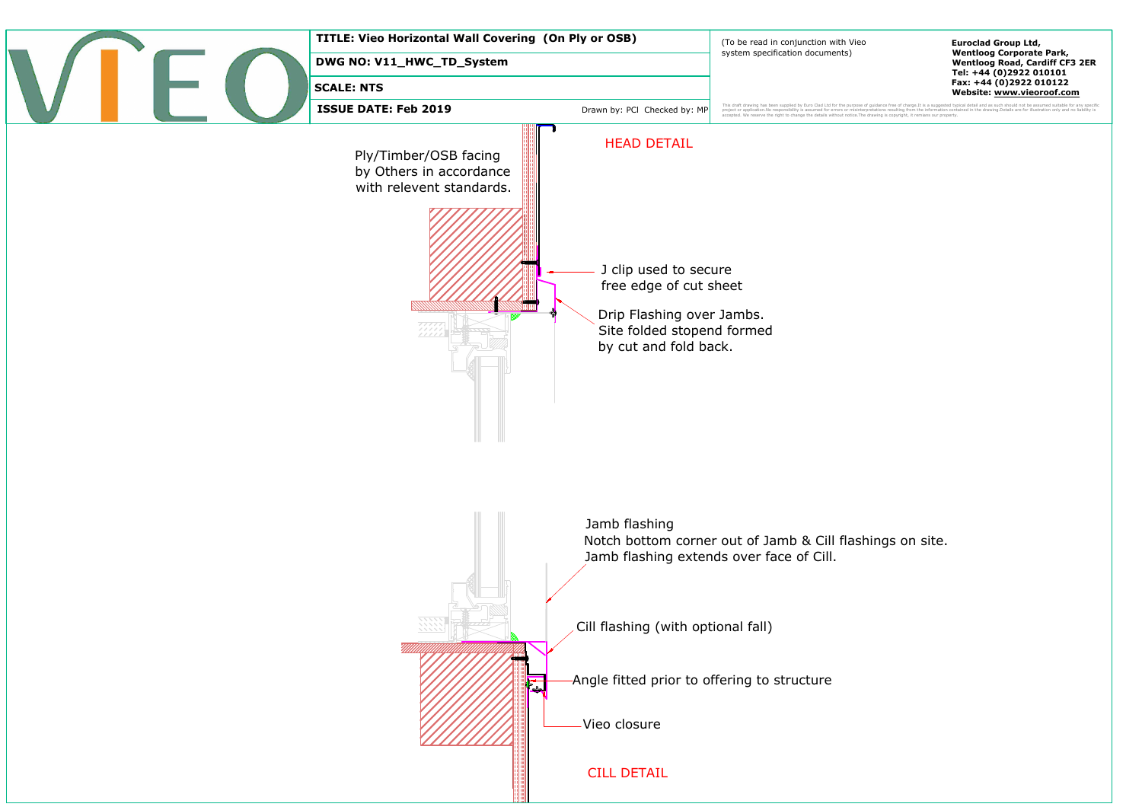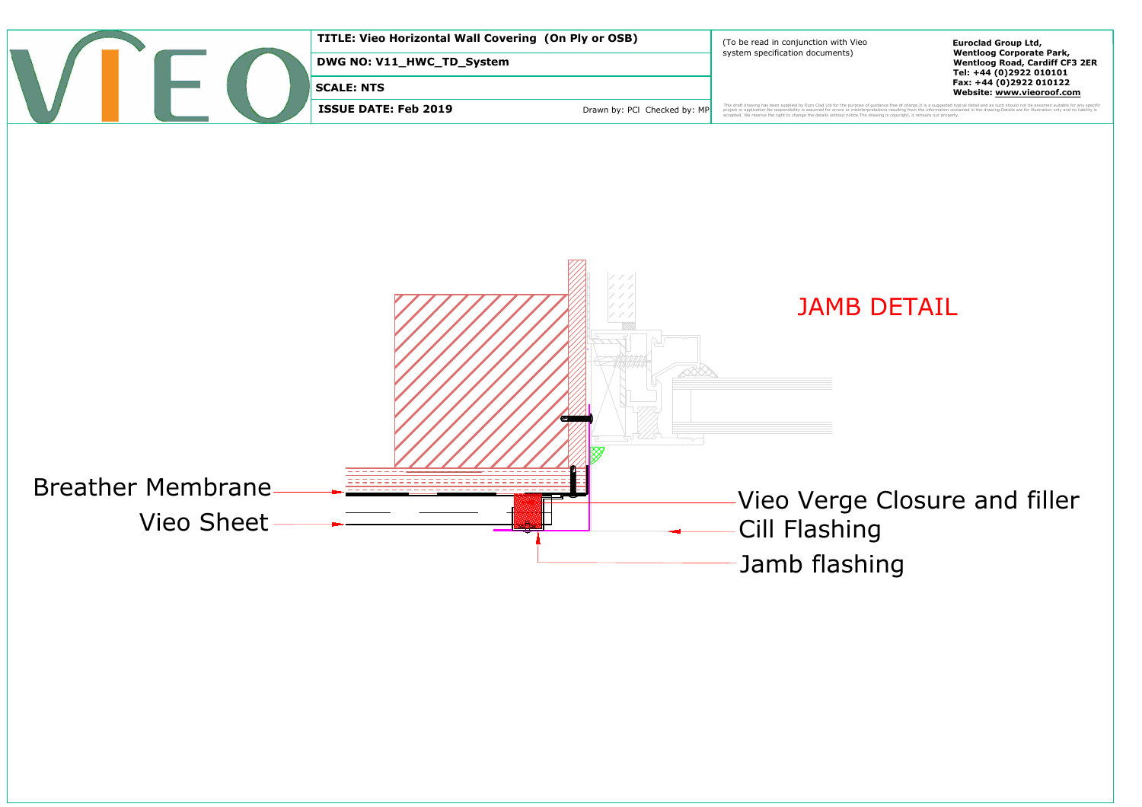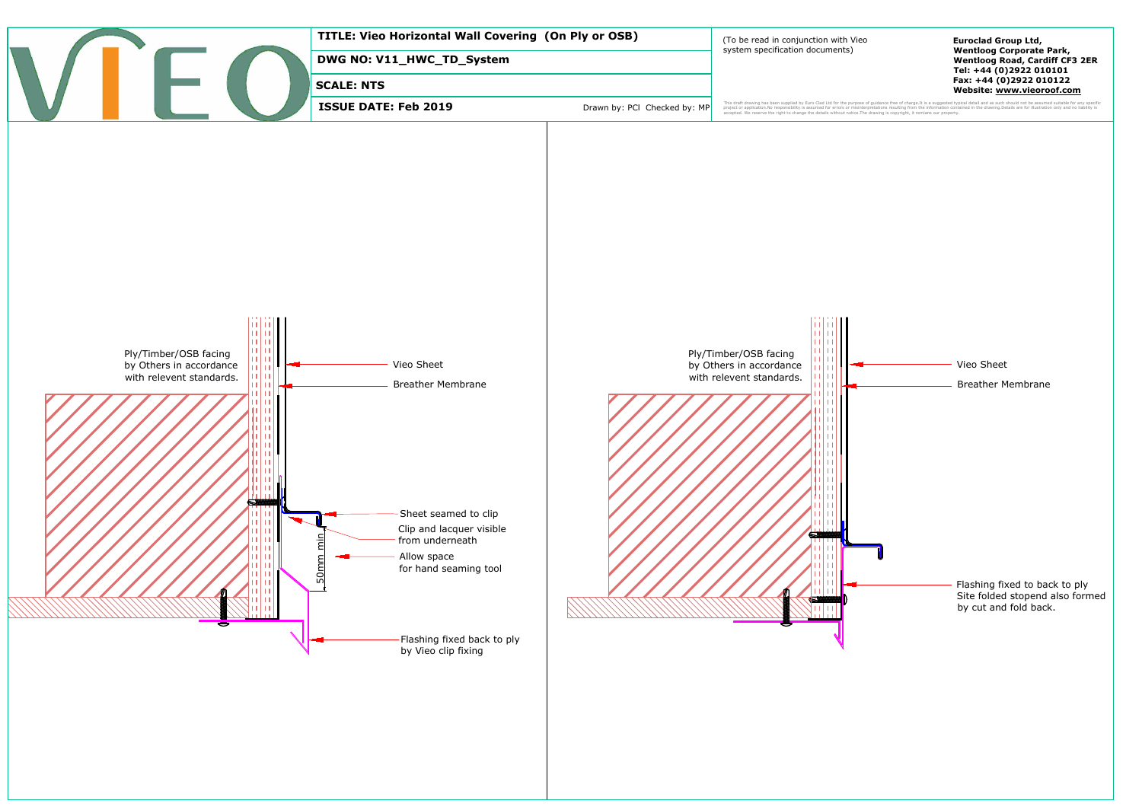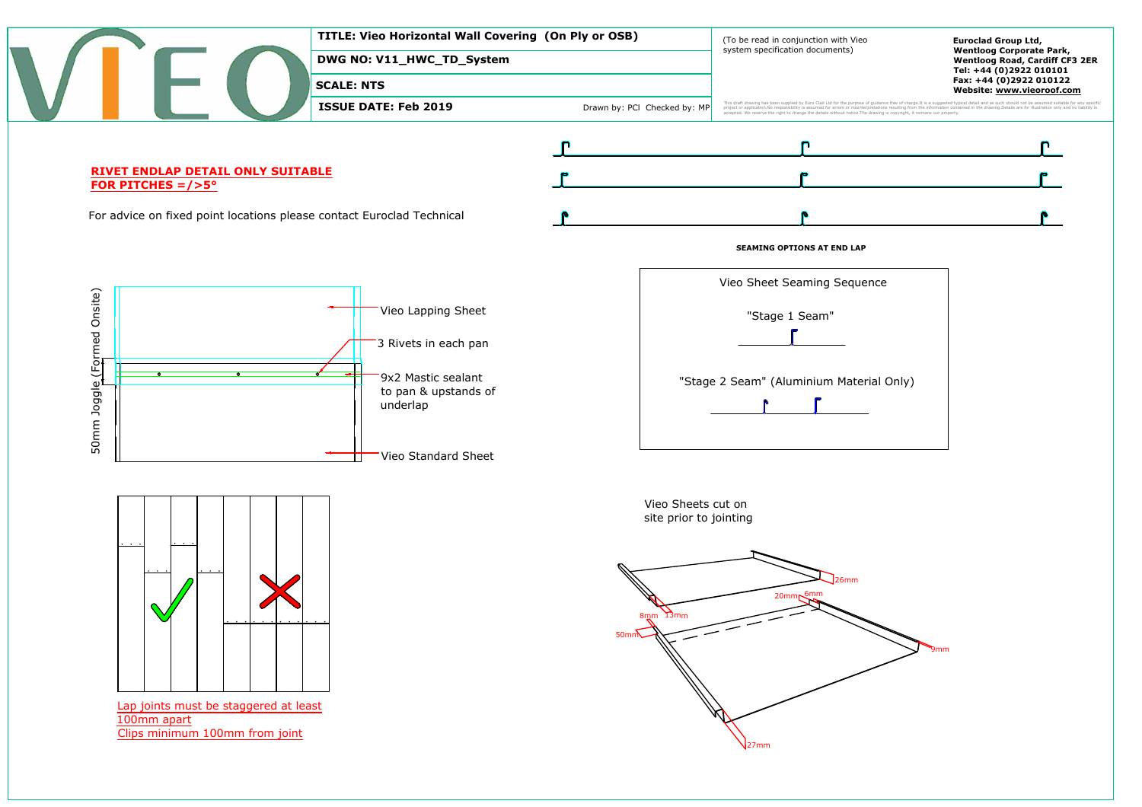